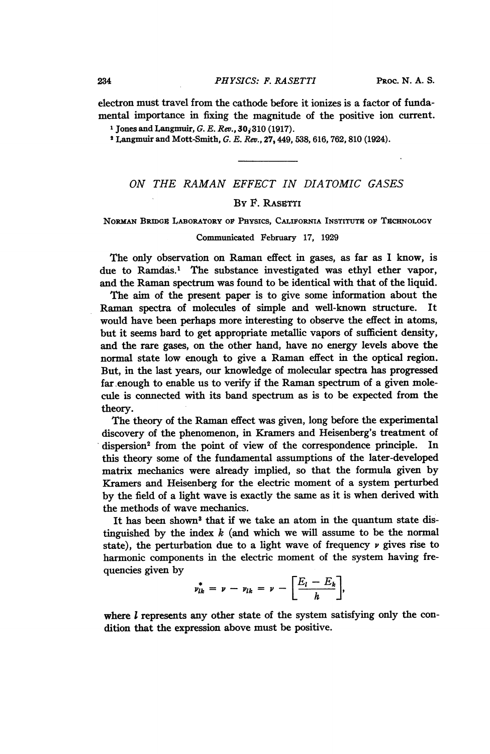electron must travel from the cathode before it ionizes is a factor of fundamental importance in fixing the magnitude of the positive ion current.

<sup>1</sup> Jones and Langmuir, G. E. Rev.,  $30,310$  (1917).

<sup>2</sup> Langmuir and Mott-Smith, G. E. Rev., 27, 449, 538, 616, 762, 810 (1924).

# ON THE RAMAN EFFECT IN DIATOMIC GASES

### BY F. RASETTI

### NORMAN BRIDGE LABORATORY OF PHYSICS, CALIFORNIA INSTITUTE OF TECHNOLOGY

#### Communicated February 17, 1929

The only observation on Raman effect in gases, as far as <sup>I</sup> know, is due to Ramdas.' The substance investigated was ethyl ether vapor, and the Raman spectrum was found to be identical with that of the liquid.

The aim of the present paper is to give some information about the Raman spectra of molecules of simple and well-known structure. It would have been perhaps more interesting to observe the effect in atoms, but it seems bard to get appropriate metallic vapors of sufficient density, and the rare gases, on the other hand, have no energy levels above the normal state low enough to give a Raman effect in the optical region. But, in the last years, our knowledge of molecular spectra has progressed far.enough to enable us to verify if the Raman spectrum of a given molecule is connected with its band spectrum as is to be expected from the theory.

The theory of the Raman effect was given, long before the experimental discovery of the phenomenon, in Kramers and Heisenberg's treatment of dispersion<sup>2</sup> from the point of view of the correspondence principle. In this theory some of the fundamental assumptions of the later-developed matrix mechanics were already implied, so that the formula given by Kramers and Heisenberg for the electric moment of a system perturbed by the field of a light wave is exactly the same as it is when derived with the methods of wave mechanics.

It has been shown<sup>3</sup> that if we take an atom in the quantum state distinguished by the index  $k$  (and which we will assume to be the normal state), the perturbation due to a light wave of frequency  $\nu$  gives rise to harmonic components in the electric moment of the system having frequencies given by

$$
v_{lk}^* = \nu - v_{lk} = \nu - \left[\frac{E_l - E_k}{h}\right],
$$

where  $l$  represents any other state of the system satisfying only the condition that the expression above must be positive.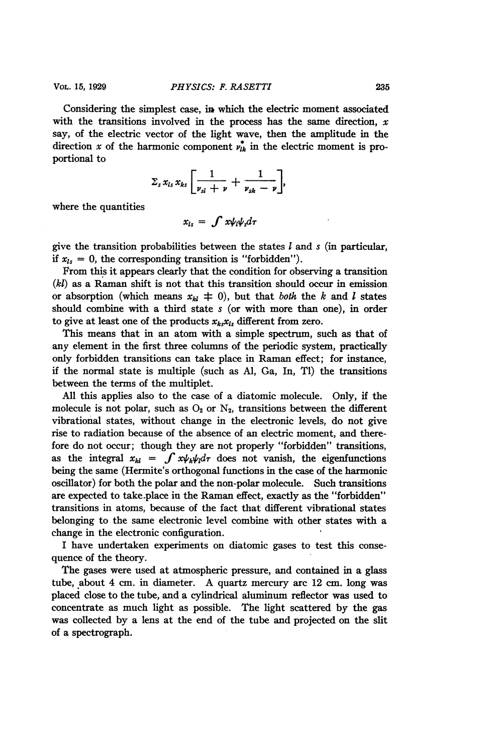Considering the simplest case, in which the electric moment associated with the transitions involved in the process has the same direction,  $x$ say, of the electric vector of the light wave, then the amplitude in the direction x of the harmonic component  $v_{ik}^*$  in the electric moment is proportional to

$$
\Sigma_s x_{ls} x_{ks} \left[ \frac{1}{\nu_{sl} + \nu} + \frac{1}{\nu_{sk} - \nu} \right],
$$

where the quantities

$$
x_{ls} = \int x \psi_l \psi_s d\tau
$$

give the transition probabilities between the states  $l$  and  $s$  (in particular, if  $x_{ls} = 0$ , the corresponding transition is "forbidden").

From this it appears clearly that the condition for observing a transition (kl) as a Raman shift is not that this transition should occur in emission or absorption (which means  $x_{kl} \neq 0$ ), but that *both* the k and l states should combine with a third state s (or with more than one), in order to give at least one of the products  $x_k, x_k$ , different from zero.

This means that in an atom with a simple spectrum, such as that of any element in the first three columns of the periodic system, practically only forbidden transitions can take place in Raman effect; for instance, if the normal state is multiple (such as Al, Ga, In, Ti) the transitions between the terms of the multiplet.

All this applies also to the case of a diatomic molecule. Only, if the molecule is not polar, such as  $O_2$  or  $N_2$ , transitions between the different vibrational states, without change in the electronic levels, do not give rise to radiation because of the absence of an electric moment, and therefore do not occur; though they are not properly "forbidden" transitions, as the integral  $x_{kl} = \int x \psi_k \psi_l d\tau$  does not vanish, the eigenfunctions being the same (Hermite's orthogonal functions in the case of the harmonic oscillator) for both the polar and the non-polar molecule. Such transitions are expected to take-place in the Raman effect, exactly as the "forbidden" transitions in atoms, because of the fact that different vibrational states belonging to the same electronic level combine with other states with a change in the electronic configuration.

I have undertaken experiments on diatomic gases to test this consequence of the theory.

The gases were used at atmospheric pressure, and contained in a glass tube, about <sup>4</sup> cm. in diameter. A quartz mercury arc <sup>12</sup> cm. long was placed close to the tube, and a cylindrical aluminum reflector was used to concentrate as much light as possible. The light scattered by the gas was collected by a lens at the end of the tube and projected on the slit of a spectrograph.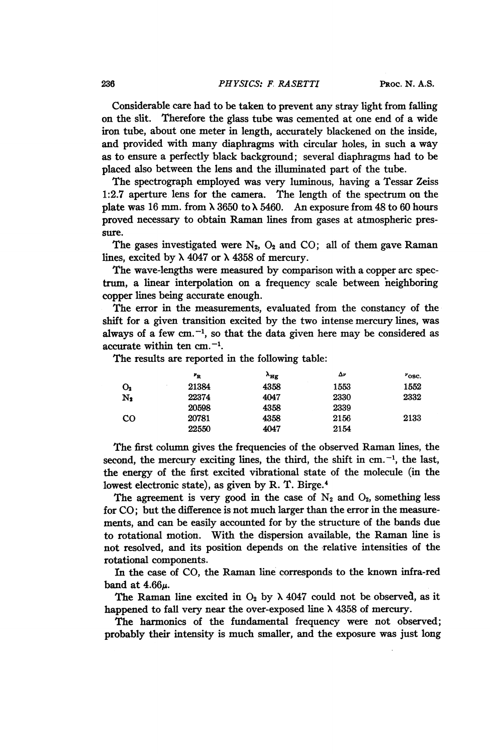#### 236 **PHYSICS: F. RASETTI** PROC. N. A.S.

Considerable care had to be taken to prevent any stray light from falling on the slit. Therefore the glass tube was cemented at one end of a wide iron tube, about one meter in length, accurately blackened on the inside, and provided with many diaphragms with circular holes, in such a way as to ensure a perfectly black background; several diaphragms had to be placed also between the lens and the illuminated part of the tube.

The spectrograph employed was very luminous, having a Tessar Zeiss 1:2.7 aperture lens for the camera. The length of the spectrum on the plate was 16 mm. from  $\lambda$  3650 to  $\lambda$  5460. An exposure from 48 to 60 hours proved necessary to obtain Raman lines from gases at atmospheric pressure.

The gases investigated were  $N_2$ ,  $O_2$  and  $CO$ ; all of them gave Raman lines, excited by  $\lambda$  4047 or  $\lambda$  4358 of mercury.

The wave-lengths were measured by comparison with a copper arc spectrum, a linear interpolation on a frequency scale between neighboring copper lines being accurate enough.

The error in the measurements, evaluated from the constancy of the shift for a given transition excited by the two intense mercury lines, was always of a few cm.<sup>-1</sup>, so that the data given here may be considered as accurate within ten  $cm. -1$ .

The results are reported in the following table:

|                | $r_{\rm R}$ | $\lambda_{\rm Hg}$ | Δν   | $^{\nu}$ osc. |
|----------------|-------------|--------------------|------|---------------|
| O <sub>2</sub> | 21384       | 4358               | 1553 | 1552          |
| $N_2$          | 22374       | 4047               | 2330 | 2332          |
|                | 20598       | 4358               | 2339 |               |
| $_{\rm CO}$    | 20781       | 4358               | 2156 | 2133          |
|                | 22550       | 4047               | 2154 |               |

The first column gives the frequencies of the observed Raman lines, the second, the mercury exciting lines, the third, the shift in cm.<sup>-1</sup>, the last, the energy of the first excited vibrational state of the molecule (in the lowest electronic state), as given by R. T. Birge.4

The agreement is very good in the case of  $N_2$  and  $O_2$ , something less for CO; but the difference is not much larger than the error in the measurements, and can be easily accounted for by the structure of the bands due to rotational motion. With the dispersion available, the Raman line is not resolved, and its position depends on the relative intensities of the rotational components.

In the case of CO, the Raman line corresponds to the known infra-red band at  $4.66\mu$ .

The Raman line excited in  $O_2$  by  $\lambda$  4047 could not be observed, as it happened to fall very near the over-exposed line  $\lambda$  4358 of mercury.

The harmonics of the fundamental frequency were not observed; probably their intensity is much smaller, and the exposure was just long